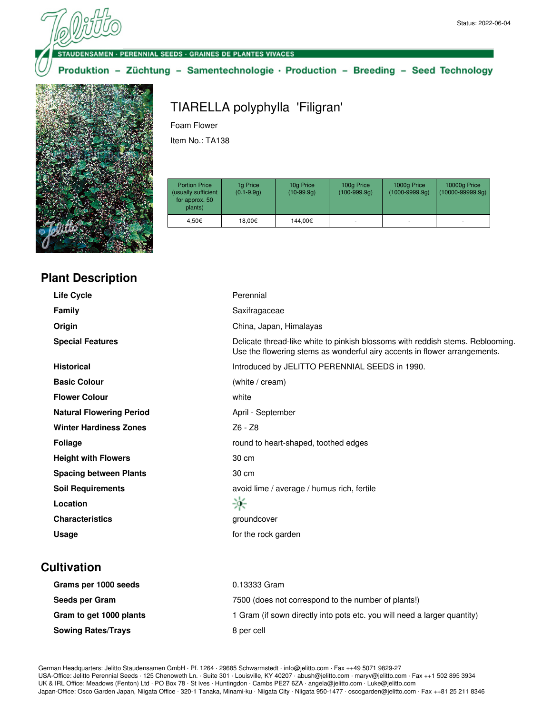#### **ISAMEN - PERENNIAL SEEDS - GRAINES DE PLANTES VIVACES**

Produktion - Züchtung - Samentechnologie · Production - Breeding - Seed Technology



# TIARELLA polyphylla 'Filigran' Foam Flower

Item No.: TA138

| <b>Portion Price</b><br>(usually sufficient<br>for approx. 50<br>plants) | 1g Price<br>$(0.1 - 9.9q)$ | 10g Price<br>$(10-99.9q)$ | 100g Price<br>$(100-999.9q)$ | 1000g Price<br>$(1000 - 9999.9q)$ | 10000g Price<br>$(10000 - 99999.9q)$ |
|--------------------------------------------------------------------------|----------------------------|---------------------------|------------------------------|-----------------------------------|--------------------------------------|
| 4.50€                                                                    | 18,00€                     | 144.00€                   |                              | ۰                                 |                                      |

|  |  | <b>Plant Description</b> |
|--|--|--------------------------|
|  |  |                          |
|  |  |                          |

| <b>Life Cycle</b>               | Perennial                                                                                                                                                   |
|---------------------------------|-------------------------------------------------------------------------------------------------------------------------------------------------------------|
| <b>Family</b>                   | Saxifragaceae                                                                                                                                               |
| Origin                          | China, Japan, Himalayas                                                                                                                                     |
| <b>Special Features</b>         | Delicate thread-like white to pinkish blossoms with reddish stems. Reblooming.<br>Use the flowering stems as wonderful airy accents in flower arrangements. |
| <b>Historical</b>               | Introduced by JELITTO PERENNIAL SEEDS in 1990.                                                                                                              |
| <b>Basic Colour</b>             | (white / cream)                                                                                                                                             |
| <b>Flower Colour</b>            | white                                                                                                                                                       |
| <b>Natural Flowering Period</b> | April - September                                                                                                                                           |
| <b>Winter Hardiness Zones</b>   | Z6 - Z8                                                                                                                                                     |
| <b>Foliage</b>                  | round to heart-shaped, toothed edges                                                                                                                        |
| <b>Height with Flowers</b>      | 30 cm                                                                                                                                                       |
| <b>Spacing between Plants</b>   | 30 cm                                                                                                                                                       |
| <b>Soil Requirements</b>        | avoid lime / average / humus rich, fertile                                                                                                                  |
| Location                        | 寧                                                                                                                                                           |
| <b>Characteristics</b>          | groundcover                                                                                                                                                 |
| Usage                           | for the rock garden                                                                                                                                         |
|                                 |                                                                                                                                                             |

# **Cultivation**

| Grams per 1000 seeds      | 0.13333 Gram                                                             |
|---------------------------|--------------------------------------------------------------------------|
| Seeds per Gram            | 7500 (does not correspond to the number of plants!)                      |
| Gram to get 1000 plants   | 1 Gram (if sown directly into pots etc. you will need a larger quantity) |
| <b>Sowing Rates/Trays</b> | 8 per cell                                                               |